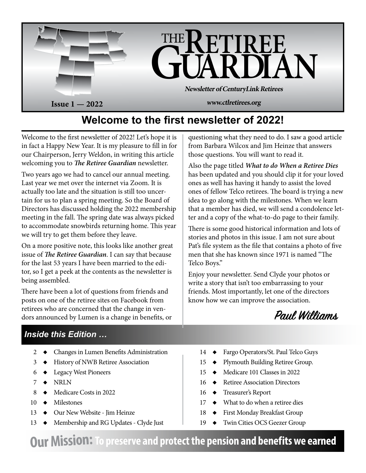

# **Welcome to the first newsletter of 2022!**

Welcome to the first newsletter of 2022! Let's hope it is in fact a Happy New Year. It is my pleasure to fill in for our Chairperson, Jerry Weldon, in writing this article welcoming you to *The Retiree Guardian* newsletter.

Two years ago we had to cancel our annual meeting. Last year we met over the internet via Zoom. It is actually too late and the situation is still too uncertain for us to plan a spring meeting. So the Board of Directors has discussed holding the 2022 membership meeting in the fall. The spring date was always picked to accommodate snowbirds returning home. This year we will try to get them before they leave.

On a more positive note, this looks like another great issue of *The Retiree Guardian*. I can say that because for the last 53 years I have been married to the editor, so I get a peek at the contents as the newsletter is being assembled.

There have been a lot of questions from friends and posts on one of the retiree sites on Facebook from retirees who are concerned that the change in vendors announced by Lumen is a change in benefits, or

questioning what they need to do. I saw a good article from Barbara Wilcox and Jim Heinze that answers those questions. You will want to read it.

Also the page titled *What to do When a Retiree Dies* has been updated and you should clip it for your loved ones as well has having it handy to assist the loved ones of fellow Telco retirees. The board is trying a new idea to go along with the milestones. When we learn that a member has died, we will send a condolence letter and a copy of the what-to-do page to their family.

There is some good historical information and lots of stories and photos in this issue. I am not sure about Pat's file system as the file that contains a photo of five men that she has known since 1971 is named "The Telco Boys."

Enjoy your newsletter. Send Clyde your photos or write a story that isn't too embarrassing to your friends. Most importantly, let one of the directors know how we can improve the association.



## *Inside this Edition …*

- 2  $\leftrightarrow$  Changes in Lumen Benefits Administration
- 3  $\leftrightarrow$  History of NWB Retiree Association
- $6 \rightarrow$  Legacy West Pioneers
- $7 \rightarrow \text{NRLN}$
- 8  $\leftrightarrow$  Medicare Costs in 2022
- $10 \rightarrow$  Milestones
- 13  $\leftrightarrow$  Our New Website Jim Heinze
- $13 \rightarrow$  Membership and RG Updates Clyde Just
- 14  $\leftrightarrow$  Fargo Operators/St. Paul Telco Guys
- 15  $\leftrightarrow$  Plymouth Building Retiree Group.
- 15  $\leftrightarrow$  Medicare 101 Classes in 2022
- $16 \rightarrow$  Retiree Association Directors
- 16  $\leftrightarrow$  Treasurer's Report
- $17 \rightarrow$  What to do when a retiree dies
- 18 ◆ First Monday Breakfast Group
- 19  $\leftrightarrow$  Twin Cities OCS Geezer Group

**Our Mission:To preserve and protect the pension and benefits we earned**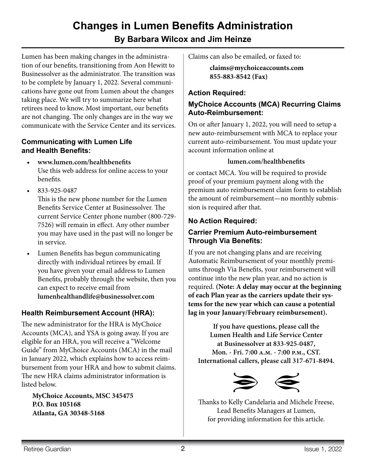## **Changes in Lumen Benefits Administration By Barbara Wilcox and Jim Heinze**

Lumen has been making changes in the administration of our benefits, transitioning from Aon Hewitt to Businessolver as the administrator. The transition was to be complete by January 1, 2022. Several communications have gone out from Lumen about the changes taking place. We will try to summarize here what retirees need to know. Most important, our benefits are not changing. The only changes are in the way we communicate with the Service Center and its services.

#### **Communicating with Lumen Life and Health Benefits:**

- **• www.lumen.com/healthbenefits** Use this web address for online access to your benefits.
- • 833-925-0487

This is the new phone number for the Lumen Benefits Service Center at Businessolver. The current Service Center phone number (800-729- 7526) will remain in effect. Any other number you may have used in the past will no longer be in service.

• Lumen Benefits has begun communicating directly with individual retirees by email. If you have given your email address to Lumen Benefits, probably through the website, then you can expect to receive email from **lumenhealthandlife@businessolver.com**

## **Health Reimbursement Account (HRA):**

The new administrator for the HRA is MyChoice Accounts (MCA), and YSA is going away. If you are eligible for an HRA, you will receive a "Welcome Guide" from MyChoice Accounts (MCA) in the mail in January 2022, which explains how to access reimbursement from your HRA and how to submit claims. The new HRA claims administrator information is listed below.

**MyChoice Accounts, MSC 345475 P.O. Box 105168 Atlanta, GA 30348-5168**

Claims can also be emailed, or faxed to:

**claims@mychoiceaccounts.com 855-883-8542 (Fax)**

## **Action Required:**

## **MyChoice Accounts (MCA) Recurring Claims Auto-Reimbursement:**

On or after January 1, 2022, you will need to setup a new auto-reimbursement with MCA to replace your current auto-reimbursement. You must update your account information online at

#### **lumen.com/healthbenefits**

or contact MCA. You will be required to provide proof of your premium payment along with the premium auto reimbursement claim form to establish the amount of reimbursement—no monthly submission is required after that.

## **No Action Required:**

### **Carrier Premium Auto-reimbursement Through Via Benefits:**

If you are not changing plans and are receiving Automatic Reimbursement of your monthly premiums through Via Benefits, your reimbursement will continue into the new plan year, and no action is required. **(Note: A delay may occur at the beginning of each Plan year as the carriers update their systems for the new year which can cause a potential lag in your January/February reimbursement).**

**If you have questions, please call the Lumen Health and Life Service Center at Businessolver at 833-925-0487, Mon. - Fri. 7:00 a.m. - 7:00 p.m., CST. International callers, please call 317-671-8494.**



Thanks to Kelly Candelaria and Michele Freese, Lead Benefits Managers at Lumen, for providing information for this article.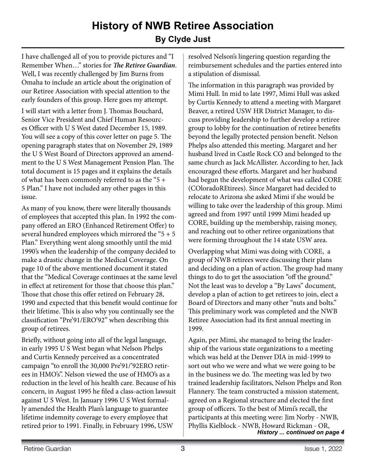# **History of NWB Retiree Association By Clyde Just**

I have challenged all of you to provide pictures and "I Remember When…" stories for *The Retiree Guardian*. Well, I was recently challenged by Jim Burns from Omaha to include an article about the origination of our Retiree Association with special attention to the early founders of this group. Here goes my attempt.

I will start with a letter from J. Thomas Bouchard, Senior Vice President and Chief Human Resources Officer with U S West dated December 15, 1989. You will see a copy of this cover letter on page 5. The opening paragraph states that on November 29, 1989 the U S West Board of Directors approved an amendment to the U S West Management Pension Plan. The total document is 15 pages and it explains the details of what has been commonly referred to as the "5 + 5 Plan." I have not included any other pages in this issue.

As many of you know, there were literally thousands of employees that accepted this plan. In 1992 the company offered an ERO (Enhanced Retirement Offer) to several hundred employees which mirrored the " $5 + 5$ " Plan." Everything went along smoothly until the mid 1990's when the leadership of the company decided to make a drastic change in the Medical Coverage. On page 10 of the above mentioned document it stated that the "Medical Coverage continues at the same level in effect at retirement for those that choose this plan." Those that chose this offer retired on February 28, 1990 and expected that this benefit would continue for their lifetime. This is also why you continually see the classification "Pre'91/ERO'92" when describing this group of retirees.

Briefly, without going into all of the legal language, in early 1995 U S West began what Nelson Phelps and Curtis Kennedy perceived as a concentrated campaign "to enroll the 30,000 Pre'91/'92ERO retirees in HMO's". Nelson viewed the use of HMO's as a reduction in the level of his health care. Because of his concern, in August 1995 he filed a class-action lawsuit against U S West. In January 1996 U S West formally amended the Health Plan's language to guarantee lifetime indemnity coverage to every employee that retired prior to 1991. Finally, in February 1996, USW

resolved Nelson's lingering question regarding the reimbursement schedules and the parties entered into a stipulation of dismissal.

The information in this paragraph was provided by Mimi Hull. In mid to late 1997, Mimi Hull was asked by Curtis Kennedy to attend a meeting with Margaret Beaver, a retired USW HR District Manager, to discuss providing leadership to further develop a retiree group to lobby for the continuation of retiree benefits beyond the legally protected pension benefit. Nelson Phelps also attended this meeting. Margaret and her husband lived in Castle Rock CO and belonged to the same church as Jack McAllister. According to her, Jack encouraged these efforts. Margaret and her husband had begun the development of what was called CORE (COloradoREtirees). Since Margaret had decided to relocate to Arizona she asked Mimi if she would be willing to take over the leadership of this group. Mimi agreed and from 1997 until 1999 Mimi headed up CORE, building up the membership, raising money, and reaching out to other retiree organizations that were forming throughout the 14 state USW area.

Overlapping what Mimi was doing with CORE, a group of NWB retirees were discussing their plans and deciding on a plan of action. The group had many things to do to get the association "off the ground." Not the least was to develop a "By Laws" document, develop a plan of action to get retirees to join, elect a Board of Directors and many other "nuts and bolts." This preliminary work was completed and the NWB Retiree Association had its first annual meeting in 1999.

Again, per Mimi, she managed to bring the leadership of the various state organizations to a meeting which was held at the Denver DIA in mid-1999 to sort out who we were and what we were going to be in the business we do. The meeting was led by two trained leadership facilitators, Nelson Phelps and Ron Flannery. The team constructed a mission statement, agreed on a Regional structure and elected the first group of officers. To the best of Mimi's recall, the participants at this meeting were: Jim Norby - NWB, Phyllis Kielblock - NWB, Howard Rickman - OR, *History ... continued on page 4*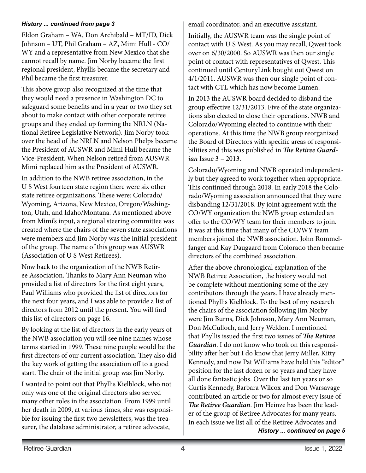#### *History ... continued from page 3*

Eldon Graham – WA, Don Archibald – MT/ID, Dick Johnson – UT, Phil Graham – AZ, Mimi Hull - CO/ WY and a representative from New Mexico that she cannot recall by name. Jim Norby became the first regional president, Phyllis became the secretary and Phil became the first treasurer.

This above group also recognized at the time that they would need a presence in Washington DC to safeguard some benefits and in a year or two they set about to make contact with other corporate retiree groups and they ended up forming the NRLN (National Retiree Legislative Network). Jim Norby took over the head of the NRLN and Nelson Phelps became the President of AUSWR and Mimi Hull became the Vice-President. When Nelson retired from AUSWR Mimi replaced him as the President of AUSWR.

In addition to the NWB retiree association, in the U S West fourteen state region there were six other state retiree organizations. These were: Colorado/ Wyoming, Arizona, New Mexico, Oregon/Washington, Utah, and Idaho/Montana. As mentioned above from Mimi's input, a regional steering committee was created where the chairs of the seven state associations were members and Jim Norby was the initial president of the group. The name of this group was AUSWR (Association of U S West Retirees).

Now back to the organization of the NWB Retiree Association. Thanks to Mary Ann Neuman who provided a list of directors for the first eight years, Paul Williams who provided the list of directors for the next four years, and I was able to provide a list of directors from 2012 until the present. You will find this list of directors on page 16.

By looking at the list of directors in the early years of the NWB association you will see nine names whose terms started in 1999. These nine people would be the first directors of our current association. They also did the key work of getting the association off to a good start. The chair of the initial group was Jim Norby.

I wanted to point out that Phyllis Kielblock, who not only was one of the original directors also served many other roles in the association. From 1999 until her death in 2009, at various times, she was responsible for issuing the first two newsletters, was the treasurer, the database administrator, a retiree advocate,

email coordinator, and an executive assistant.

Initially, the AUSWR team was the single point of contact with U S West. As you may recall, Qwest took over on 6/30/2000. So AUSWR was then our single point of contact with representatives of Qwest. This continued until CenturyLink bought out Qwest on 4/1/2011. AUSWR was then our single point of contact with CTL which has now become Lumen.

In 2013 the AUSWR board decided to disband the group effective 12/31/2013. Five of the state organizations also elected to close their operations. NWB and Colorado/Wyoming elected to continue with their operations. At this time the NWB group reorganized the Board of Directors with specific areas of responsibilities and this was published in *The Retiree Guardian* Issue 3 – 2013.

Colorado/Wyoming and NWB operated independently but they agreed to work together when appropriate. This continued through 2018. In early 2018 the Colorado/Wyoming association announced that they were disbanding 12/31/2018. By joint agreement with the CO/WY organization the NWB group extended an offer to the CO/WY team for their members to join. It was at this time that many of the CO/WY team members joined the NWB association. John Rommelfanger and Kay Daugaard from Colorado then became directors of the combined association.

After the above chronological explanation of the NWB Retiree Association, the history would not be complete without mentioning some of the key contributors through the years. I have already mentioned Phyllis Kielblock. To the best of my research the chairs of the association following Jim Norby were Jim Burns, Dick Johnson, Mary Ann Neuman, Don McCulloch, and Jerry Weldon. I mentioned that Phyllis issued the first two issues of *The Retiree Guardian*. I do not know who took on this responsibility after her but I do know that Jerry Miller, Kitty Kennedy, and now Pat Williams have held this "editor" position for the last dozen or so years and they have all done fantastic jobs. Over the last ten years or so Curtis Kennedy, Barbara Wilcox and Don Warsavage contributed an article or two for almost every issue of *The Retiree Guardian*. Jim Heinze has been the leader of the group of Retiree Advocates for many years. In each issue we list all of the Retiree Advocates and *History ... continued on page 5*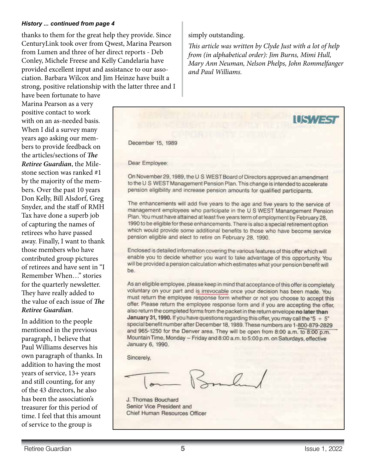#### *History ... continued from page 4*

thanks to them for the great help they provide. Since CenturyLink took over from Qwest, Marina Pearson from Lumen and three of her direct reports - Deb Conley, Michele Freese and Kelly Candelaria have provided excellent input and assistance to our association. Barbara Wilcox and Jim Heinze have built a strong, positive relationship with the latter three and I

have been fortunate to have Marina Pearson as a very positive contact to work with on an as-needed basis. When I did a survey many years ago asking our members to provide feedback on the articles/sections of *The Retiree Guardian*, the Milestone section was ranked #1 by the majority of the members. Over the past 10 years Don Kelly, Bill Alsdorf, Greg Snyder, and the staff of RMH Tax have done a superb job of capturing the names of retirees who have passed away. Finally, I want to thank those members who have contributed group pictures of retirees and have sent in "I Remember When…" stories for the quarterly newsletter. They have really added to the value of each issue of *The Retiree Guardian*.

In addition to the people mentioned in the previous paragraph, I believe that Paul Williams deserves his own paragraph of thanks. In addition to having the most years of service, 13+ years and still counting, for any of the 43 directors, he also has been the association's treasurer for this period of time. I feel that this amount of service to the group is

#### simply outstanding.

*This article was written by Clyde Just with a lot of help from (in alphabetical order): Jim Burns, Mimi Hull, Mary Ann Neuman, Nelson Phelps, John Rommelfanger and Paul Williams.*



J. Thomas Bouchard Senior Vice President and Chief Human Resources Officer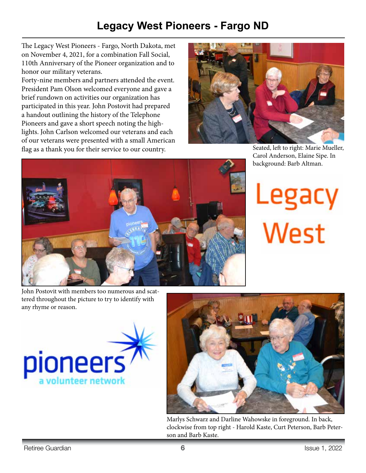# **Legacy West Pioneers - Fargo ND**

The Legacy West Pioneers - Fargo, North Dakota, met on November 4, 2021, for a combination Fall Social, 110th Anniversary of the Pioneer organization and to honor our military veterans.

Forty-nine members and partners attended the event. President Pam Olson welcomed everyone and gave a brief rundown on activities our organization has participated in this year. John Postovit had prepared a handout outlining the history of the Telephone Pioneers and gave a short speech noting the highlights. John Carlson welcomed our veterans and each of our veterans were presented with a small American flag as a thank you for their service to our country.



Seated, left to right: Marie Mueller, Carol Anderson, Elaine Sipe. In background: Barb Altman.





John Postovit with members too numerous and scattered throughout the picture to try to identify with any rhyme or reason.





Marlys Schwarz and Darline Wahowske in foreground. In back, clockwise from top right - Harold Kaste, Curt Peterson, Barb Peterson and Barb Kaste.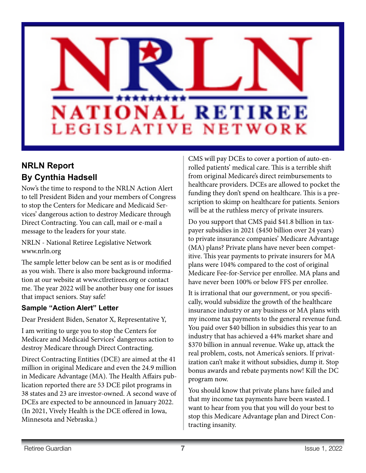

## **NRLN Report By Cynthia Hadsell**

Now's the time to respond to the NRLN Action Alert to tell President Biden and your members of Congress to stop the Centers for Medicare and Medicaid Services' dangerous action to destroy Medicare through Direct Contracting. You can call, mail or e-mail a message to the leaders for your state.

NRLN - National Retiree Legislative Network www.nrln.org

The sample letter below can be sent as is or modified as you wish. There is also more background information at our website at www.ctlretirees.org or contact me. The year 2022 will be another busy one for issues that impact seniors. Stay safe!

### **Sample "Action Alert" Letter**

Dear President Biden, Senator X, Representative Y,

I am writing to urge you to stop the Centers for Medicare and Medicaid Services' dangerous action to destroy Medicare through Direct Contracting.

Direct Contracting Entities (DCE) are aimed at the 41 million in original Medicare and even the 24.9 million in Medicare Advantage (MA). The Health Affairs publication reported there are 53 DCE pilot programs in 38 states and 23 are investor-owned. A second wave of DCEs are expected to be announced in January 2022. (In 2021, Vively Health is the DCE offered in Iowa, Minnesota and Nebraska.)

CMS will pay DCEs to cover a portion of auto-enrolled patients' medical care. This is a terrible shift from original Medicare's direct reimbursements to healthcare providers. DCEs are allowed to pocket the funding they don't spend on healthcare. This is a prescription to skimp on healthcare for patients. Seniors will be at the ruthless mercy of private insurers.

Do you support that CMS paid \$41.8 billion in taxpayer subsidies in 2021 (\$450 billion over 24 years) to private insurance companies' Medicare Advantage (MA) plans? Private plans have never been competitive. This year payments to private insurers for MA plans were 104% compared to the cost of original Medicare Fee-for-Service per enrollee. MA plans and have never been 100% or below FFS per enrollee.

It is irrational that our government, or you specifically, would subsidize the growth of the healthcare insurance industry or any business or MA plans with my income tax payments to the general revenue fund. You paid over \$40 billion in subsidies this year to an industry that has achieved a 44% market share and \$370 billion in annual revenue. Wake up, attack the real problem, costs, not America's seniors. If privatization can't make it without subsidies, dump it. Stop bonus awards and rebate payments now! Kill the DC program now.

You should know that private plans have failed and that my income tax payments have been wasted. I want to hear from you that you will do your best to stop this Medicare Advantage plan and Direct Contracting insanity.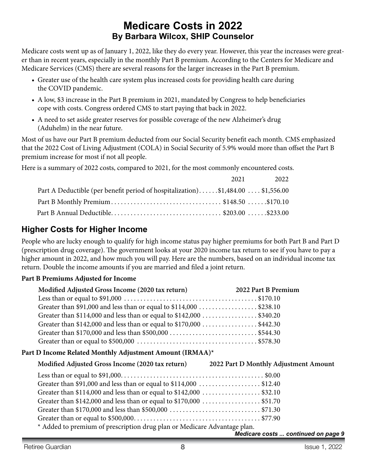## **Medicare Costs in 2022 By Barbara Wilcox, SHIP Counselor**

Medicare costs went up as of January 1, 2022, like they do every year. However, this year the increases were greater than in recent years, especially in the monthly Part B premium. According to the Centers for Medicare and Medicare Services (CMS) there are several reasons for the larger increases in the Part B premium.

- Greater use of the health care system plus increased costs for providing health care during the COVID pandemic.
- A low, \$3 increase in the Part B premium in 2021, mandated by Congress to help beneficiaries cope with costs. Congress ordered CMS to start paying that back in 2022.
- • A need to set aside greater reserves for possible coverage of the new Alzheimer's drug (Aduhelm) in the near future.

Most of us have our Part B premium deducted from our Social Security benefit each month. CMS emphasized that the 2022 Cost of Living Adjustment (COLA) in Social Security of 5.9% would more than offset the Part B premium increase for most if not all people.

Here is a summary of 2022 costs, compared to 2021, for the most commonly encountered costs.

|                                                                                | 2021 2022 |
|--------------------------------------------------------------------------------|-----------|
| Part A Deductible (per benefit period of hospitalization)\$1,484.00 \$1,556.00 |           |
|                                                                                |           |
|                                                                                |           |

## **Higher Costs for Higher Income**

People who are lucky enough to qualify for high income status pay higher premiums for both Part B and Part D (prescription drug coverage). The government looks at your 2020 income tax return to see if you have to pay a higher amount in 2022, and how much you will pay. Here are the numbers, based on an individual income tax return. Double the income amounts if you are married and filed a joint return.

#### **Part B Premiums Adjusted for Income**

| Modified Adjusted Gross Income (2020 tax return)                    | 2022 Part B Premium |
|---------------------------------------------------------------------|---------------------|
|                                                                     |                     |
| Greater than \$91,000 and less than or equal to \$114,000 \$238.10  |                     |
| Greater than \$114,000 and less than or equal to \$142,000 \$340.20 |                     |
| Greater than \$142,000 and less than or equal to \$170,000 \$442.30 |                     |
|                                                                     |                     |
|                                                                     |                     |

### **Part D Income Related Monthly Adjustment Amount (IRMAA)\***

| Modified Adjusted Gross Income (2020 tax return) | 2022 Pa |
|--------------------------------------------------|---------|
|                                                  |         |

**Modified Adjusted Gross Income (2020 tax return) 2022 Part D Monthly Adjustment Amount**

| $*$ Added to memium of prescription drug plan or Medicare Adventors plan |  |
|--------------------------------------------------------------------------|--|

Added to premium of prescription drug plan or Medicare Advantage plan.

*Medicare costs ... continued on page 9*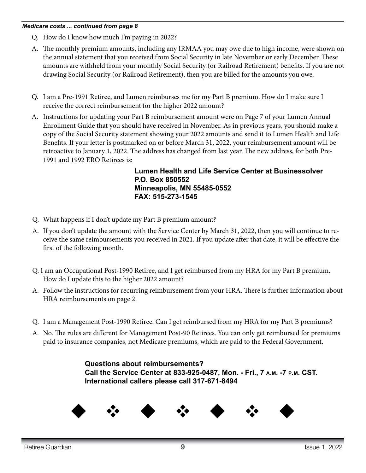#### *Medicare costs ... continued from page 8*

- Q. How do I know how much I'm paying in 2022?
- A. The monthly premium amounts, including any IRMAA you may owe due to high income, were shown on the annual statement that you received from Social Security in late November or early December. These amounts are withheld from your monthly Social Security (or Railroad Retirement) benefits. If you are not drawing Social Security (or Railroad Retirement), then you are billed for the amounts you owe.
- Q. I am a Pre-1991 Retiree, and Lumen reimburses me for my Part B premium. How do I make sure I receive the correct reimbursement for the higher 2022 amount?
- A. Instructions for updating your Part B reimbursement amount were on Page 7 of your Lumen Annual Enrollment Guide that you should have received in November. As in previous years, you should make a copy of the Social Security statement showing your 2022 amounts and send it to Lumen Health and Life Benefits. If your letter is postmarked on or before March 31, 2022, your reimbursement amount will be retroactive to January 1, 2022. The address has changed from last year. The new address, for both Pre-1991 and 1992 ERO Retirees is:

**Lumen Health and Life Service Center at Businessolver P.O. Box 850552 Minneapolis, MN 55485-0552 FAX: 515-273-1545**

- Q. What happens if I don't update my Part B premium amount?
- A. If you don't update the amount with the Service Center by March 31, 2022, then you will continue to receive the same reimbursements you received in 2021. If you update after that date, it will be effective the first of the following month.
- Q. I am an Occupational Post-1990 Retiree, and I get reimbursed from my HRA for my Part B premium. How do I update this to the higher 2022 amount?
- A. Follow the instructions for recurring reimbursement from your HRA. There is further information about HRA reimbursements on page 2.
- Q. I am a Management Post-1990 Retiree. Can I get reimbursed from my HRA for my Part B premiums?
- A. No. The rules are different for Management Post-90 Retirees. You can only get reimbursed for premiums paid to insurance companies, not Medicare premiums, which are paid to the Federal Government.

**Questions about reimbursements? Call the Service Center at 833-925-0487, Mon. - Fri., 7 a.m. -7 p.m. CST. International callers please call 317-671-8494**

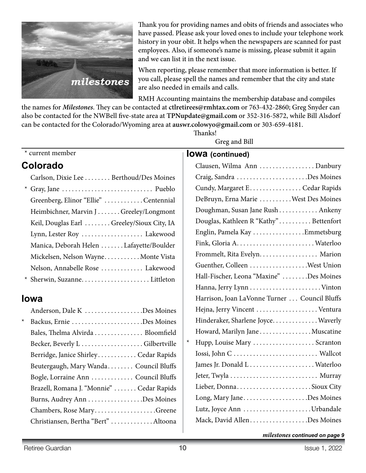

Thank you for providing names and obits of friends and associates who have passed. Please ask your loved ones to include your telephone work history in your obit. It helps when the newspapers are scanned for past employees. Also, if someone's name is missing, please submit it again and we can list it in the next issue.

When reporting, please remember that more information is better. If you call, please spell the names and remember that the city and state are also needed in emails and calls.

RMH Accounting maintains the membership database and compiles

the names for *Milestones*. They can be contacted at **ctlretirees@rmhtax.com** or 763-432-2860; Greg Snyder can also be contacted for the NWBell five-state area at **TPNupdate@gmail.com** or 352-316-5872, while Bill Alsdorf can be contacted for the Colorado/Wyoming area at **auswr.colowyo@gmail.com** or 303-659-4181.

**Thanks!** 

Greg and Bill

## \* current member

## **Colorado**

| Carlson, Dixie Lee Berthoud/Des Moines    |
|-------------------------------------------|
|                                           |
| Greenberg, Elinor "Ellie" Centennial      |
| Heimbichner, Marvin JGreeley/Longmont     |
| Keil, Douglas Earl Greeley/Sioux City, IA |
| Lynn, Lester Roy  Lakewood                |
| Manica, Deborah Helen Lafayette/Boulder   |
| Mickelsen, Nelson WayneMonte Vista        |
| Nelson, Annabelle Rose  Lakewood          |
|                                           |

## **Iowa**

|         | Anderson, Dale K Des Moines              |
|---------|------------------------------------------|
| $\star$ | Backus, Ernie Des Moines                 |
|         | Bales, Thelma Alvirda Bloomfield         |
|         | Becker, Beverly LGilbertville            |
|         | Berridge, Janice Shirley Cedar Rapids    |
|         | Beutergaugh, Mary Wanda Council Bluffs   |
|         | Bogle, Lorraine Ann  Council Bluffs      |
|         | Brazell, Romana J. "Monnie" Cedar Rapids |
|         |                                          |
|         | Chambers, Rose MaryGreene                |
|         | Christiansen, Bertha "Bert" Altoona      |
|         |                                          |

**Iowa (continued)**

|   | Clausen, Wilma Ann Danbury                    |
|---|-----------------------------------------------|
|   | Craig, Sandra Des Moines                      |
|   | Cundy, Margaret E. Cedar Rapids               |
|   | DeBruyn, Erna Marie West Des Moines           |
|   | Doughman, Susan Jane Rush Ankeny              |
|   | Douglas, Kathleen R "Kathy"Bettenfort         |
|   | Englin, Pamela Kay Emmetsburg                 |
|   |                                               |
|   | Frommelt, Rita Evelyn. Marion                 |
|   | Guenther, Colleen West Union                  |
|   | Hall-Fischer, Leona "Maxine" Des Moines       |
|   |                                               |
|   | Harrison, Joan LaVonne Turner  Council Bluffs |
|   | Hejna, Jerry Vincent  Ventura                 |
|   | Hinderaker, Sharlene Joyce. Waverly           |
|   | Howard, Marilyn Jane Muscatine                |
| ⊁ | Hupp, Louise Mary  Scranton                   |
|   |                                               |
|   | James Jr. Donald L Waterloo                   |
|   | Jeter, Twyla  Murray                          |
|   | Lieber, DonnaSioux City                       |
|   | Long, Mary JaneDes Moines                     |
|   | Lutz, Joyce Ann Urbandale                     |
|   | Mack, David AllenDes Moines                   |

*milestones continued on page 9*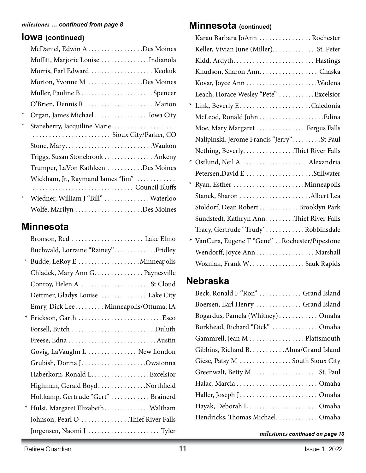## **Iowa (continued)**

|         | McDaniel, Edwin A. Des Moines       |  |
|---------|-------------------------------------|--|
|         | Moffitt, Marjorie Louise Indianola  |  |
|         | Morris, Earl Edward  Keokuk         |  |
|         | Morton, Yvonne M Des Moines         |  |
|         |                                     |  |
|         |                                     |  |
| $\star$ | Organ, James Michael Iowa City      |  |
| $\star$ | Stansberry, Jacquiline Marie        |  |
|         |                                     |  |
|         |                                     |  |
|         | Triggs, Susan Stonebrook  Ankeny    |  |
|         | Trumper, LaVon Kathleen Des Moines  |  |
|         | Wickham, Jr., Raymand James "Jim"   |  |
|         |                                     |  |
| ∗       | Wiedner, William J "Bill"  Waterloo |  |
|         |                                     |  |

## **Minnesota**

| Bronson, Red  Lake Elmo               |
|---------------------------------------|
| Buchwald, Lorraine "Rainey"Fridley    |
| * Budde, LeRoy E Minneapolis          |
| Chladek, Mary Ann G. Paynesville      |
| Conroy, Helen A  St Cloud             |
| Dettmer, Gladys Louise Lake City      |
| Emry, Dick Lee Minneapolis/Ottuma, IA |
| * Erickson, Garth Esco                |
|                                       |
| Freese, Edna  Austin                  |
| Govig, LaVaughn L  New London         |
|                                       |
| Haberkorn, Ronald L. Excelsior        |
| Highman, Gerald BoydNorthfield        |
| Holtkamp, Gertrude "Gert"  Brainerd   |
| * Hulst, Margaret ElizabethWaltham    |
| Johnson, Pearl O Thief River Falls    |
| Jorgensen, Naomi J  Tyler             |

## *milestones* ... continued from page 8 **Minnesota** (continued)

| Karau Barbara JoAnn  Rochester                 |
|------------------------------------------------|
| Keller, Vivian June (Miller). St. Peter        |
|                                                |
| Knudson, Sharon Ann. Chaska                    |
|                                                |
| Leach, Horace Wesley "Pete" Excelsior          |
|                                                |
|                                                |
| Moe, Mary Margaret Fergus Falls                |
| Nalipinski, Jerome Francis "Jerry"St Paul      |
| Nething, Beverly. Thief River Falls            |
| * Ostlund, Neil A  Alexandria                  |
| Petersen, David E Stillwater                   |
|                                                |
| Stanek, Sharon Albert Lea                      |
| Stoldorf, Dean Robert Brooklyn Park            |
| Sundstedt, Kathryn AnnThief River Falls        |
| Tracy, Gertrude "Trudy"Robbinsdale             |
| * VanCura, Eugene T "Gene" Rochester/Pipestone |
| Wendorff, Joyce Ann Marshall                   |
| Wozniak, Frank W. Sauk Rapids                  |
|                                                |

## **Nebraska**

| Beck, Ronald F "Ron"  Grand Island    |
|---------------------------------------|
| Boersen, Earl Henry  Grand Island     |
| Bogardus, Pamela (Whitney) Omaha      |
| Burkhead, Richard "Dick"  Omaha       |
| Gammrell, Jean M Plattsmouth          |
| Gibbins, Richard B. Alma/Grand Island |
| Giese, Patsy M  South Sioux City      |
| Greenwalt, Betty M  St. Paul          |
|                                       |
|                                       |
| Hayak, Deborah L Omaha                |
| Hendricks, Thomas Michael Omaha       |

*milestones continued on page 10*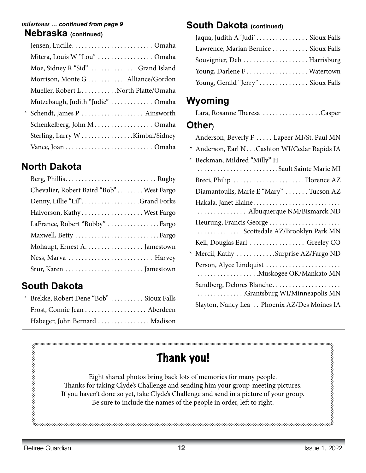#### **Nebraska (continued)** *milestones … continued from page 9*

| Mitera, Louis W "Lou"  Omaha        |
|-------------------------------------|
| Moe, Sidney R "Sid" Grand Island    |
| Morrison, Monte GAlliance/Gordon    |
| Mueller, Robert LNorth Platte/Omaha |
| Mutzebaugh, Judith "Judie"  Omaha   |
|                                     |
| Schenkelberg, John M Omaha          |
| Sterling, Larry WKimbal/Sidney      |
|                                     |
|                                     |

# **North Dakota**

# **South Dakota**

| * Brekke, Robert Dene "Bob"  Sioux Falls |  |
|------------------------------------------|--|
| Frost, Connie Jean Aberdeen              |  |
| Habeger, John Bernard  Madison           |  |

## **South Dakota (continued)**

| Jaqua, Judith A 'Judi'  Sioux Falls   |  |
|---------------------------------------|--|
| Lawrence, Marian Bernice  Sioux Falls |  |
| Souvignier, Deb  Harrisburg           |  |
| Young, Darlene F Watertown            |  |
| Young, Gerald "Jerry"  Sioux Falls    |  |

# **Wyoming**

|--|--|

## **Other)**

| Anderson, Beverly F  Lapeer MI/St. Paul MN                  |
|-------------------------------------------------------------|
| * Anderson, Earl N Cashton WI/Cedar Rapids IA               |
| * Beckman, Mildred "Milly" H                                |
| Sault Sainte Marie MI                                       |
|                                                             |
| Diamantoulis, Marie E "Mary"  Tucson AZ                     |
| Hakala, Janet Elaine                                        |
| . Albuquerque NM/Bismarck ND                                |
| Heurung, Francis George<br>. Scottsdale AZ/Brooklyn Park MN |
| Keil, Douglas Earl  Greeley CO                              |
| * Mercil, Kathy Surprise AZ/Fargo ND                        |
| Person, Alyce Lindquist                                     |
| Sandberg, Delores Blanche<br>. Grantsburg WI/Minneapolis MN |
| Slayton, Nancy Lea Phoenix AZ/Des Moines IA                 |
|                                                             |

# Thank you!

>∞∞∞∞∞∞∞∞∞∞∞∞∞∞∞∞∞∞∞∞∞∞∞∞∞∞∞∞∞∞∞∞∞

Eight shared photos bring back lots of memories for many people. Thanks for taking Clyde's Challenge and sending him your group-meeting pictures. If you haven't done so yet, take Clyde's Challenge and send in a picture of your group. Be sure to include the names of the people in order, left to right.

provenovenovenovenovenovenover<br>{<br>{<br>{}

baaanaanaanaanaanaanaanaanaa d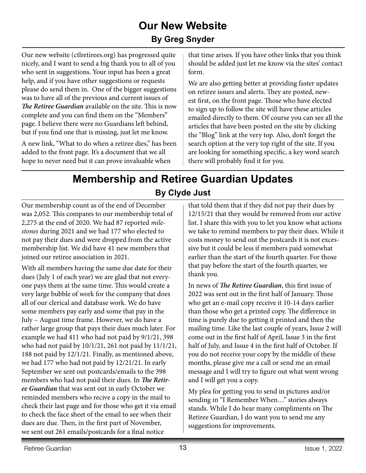# **Our New Website By Greg Snyder**

Our new website (ctlretirees.org) has progressed quite nicely, and I want to send a big thank you to all of you who sent in suggestions. Your input has been a great help, and if you have other suggestions or requests please do send them in. One of the bigger suggestions was to have all of the previous and current issues of *The Retiree Guardian* available on the site. This is now complete and you can find them on the "Members" page. I believe there were no Guardians left behind, but if you find one that is missing, just let me know.

A new link, "What to do when a retiree dies," has been added to the front page. It's a document that we all hope to never need but it can prove invaluable when

that time arises. If you have other links that you think should be added just let me know via the sites' contact form.

We are also getting better at providing faster updates on retiree issues and alerts. They are posted, newest first, on the front page. Those who have elected to sign up to follow the site will have these articles emailed directly to them. Of course you can see all the articles that have been posted on the site by clicking the "Blog" link at the very top. Also, don't forget the search option at the very top right of the site. If you are looking for something specific, a key word search there will probably find it for you.

# **Membership and Retiree Guardian Updates By Clyde Just**

Our membership count as of the end of December was 2,052. This compares to our membership total of 2,275 at the end of 2020. We had 87 reported *milestones* during 2021 and we had 177 who elected to not pay their dues and were dropped from the active membership list. We did have 41 new members that joined our retiree association in 2021.

With all members having the same due date for their dues (July 1 of each year) we are glad that not everyone pays them at the same time. This would create a very large bubble of work for the company that does all of our clerical and database work. We do have some members pay early and some that pay in the July – August time frame. However, we do have a rather large group that pays their dues much later. For example we had 411 who had not paid by 9/1/21, 398 who had not paid by 10/1/21, 261 not paid by 11/1/21, 188 not paid by 12/1/21. Finally, as mentioned above, we had 177 who had not paid by 12/21/21. In early September we sent out postcards/emails to the 398 members who had not paid their dues. In *The Retiree Guardian* that was sent out in early October we reminded members who recive a copy in the mail to check their last page and for those who get it via email to check the face sheet of the email to see when their dues are due. Then, in the first part of November, we sent out 261 emails/postcards for a final notice

that told them that if they did not pay their dues by 12/15/21 that they would be removed from our active list. I share this with you to let you know what actions we take to remind members to pay their dues. While it costs money to send out the postcards it is not excessive but it could be less if members paid somewhat earlier than the start of the fourth quarter. For those that pay before the start of the fourth quarter, we thank you.

In news of *The Retiree Guardian*, this first issue of 2022 was sent out in the first half of January. Those who get an e-mail copy receive it 10-14 days earlier than those who get a printed copy. The difference in time is purely due to getting it printed and then the mailing time. Like the last couple of years, Issue 2 will come out in the first half of April, Issue 3 in the first half of July, and Issue 4 in the first half of October. If you do not receive your copy by the middle of these months, please give me a call or send me an email message and I will try to figure out what went wrong and I will get you a copy.

My plea for getting you to send in pictures and/or sending in "I Remember When…" stories always stands. While I do hear many compliments on The Retiree Guardian, I do want you to send me any suggestions for improvements.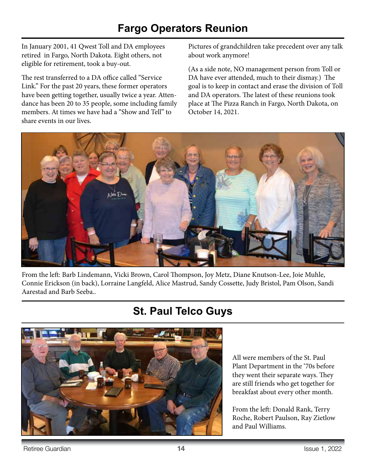# **Fargo Operators Reunion**

In January 2001, 41 Qwest Toll and DA employees retired in Fargo, North Dakota. Eight others, not eligible for retirement, took a buy-out.

The rest transferred to a DA office called "Service Link." For the past 20 years, these former operators have been getting together, usually twice a year. Attendance has been 20 to 35 people, some including family members. At times we have had a "Show and Tell" to share events in our lives.

Pictures of grandchildren take precedent over any talk about work anymore!

(As a side note, NO management person from Toll or DA have ever attended, much to their dismay.) The goal is to keep in contact and erase the division of Toll and DA operators. The latest of these reunions took place at The Pizza Ranch in Fargo, North Dakota, on October 14, 2021.



From the left: Barb Lindemann, Vicki Brown, Carol Thompson, Joy Metz, Diane Knutson-Lee, Joie Muhle, Connie Erickson (in back), Lorraine Langfeld, Alice Mastrud, Sandy Cossette, Judy Bristol, Pam Olson, Sandi Aarestad and Barb Seeba..

# **St. Paul Telco Guys**



All were members of the St. Paul Plant Department in the '70s before they went their separate ways. They are still friends who get together for breakfast about every other month.

From the left: Donald Rank, Terry Roche, Robert Paulson, Ray Zietlow and Paul Williams.

Retiree Guardian **14 14** Issue 1, 2022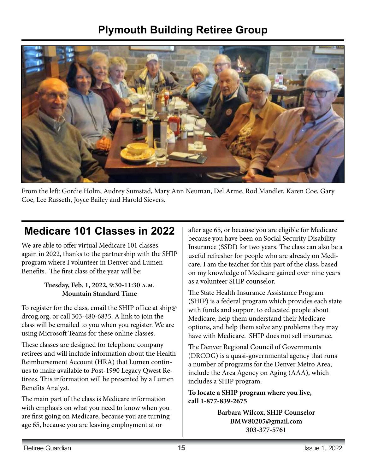# **Plymouth Building Retiree Group**



From the left: Gordie Holm, Audrey Sumstad, Mary Ann Neuman, Del Arme, Rod Mandler, Karen Coe, Gary Coe, Lee Russeth, Joyce Bailey and Harold Sievers.

# **Medicare 101 Classes in 2022**

We are able to offer virtual Medicare 101 classes again in 2022, thanks to the partnership with the SHIP program where I volunteer in Denver and Lumen Benefits. The first class of the year will be:

#### **Tuesday, Feb. 1, 2022, 9:30-11:30 a.m. Mountain Standard Time**

To register for the class, email the SHIP office at ship@ drcog.org, or call 303-480-6835. A link to join the class will be emailed to you when you register. We are using Microsoft Teams for these online classes.

These classes are designed for telephone company retirees and will include information about the Health Reimbursement Account (HRA) that Lumen continues to make available to Post-1990 Legacy Qwest Retirees. This information will be presented by a Lumen Benefits Analyst.

The main part of the class is Medicare information with emphasis on what you need to know when you are first going on Medicare, because you are turning age 65, because you are leaving employment at or

after age 65, or because you are eligible for Medicare because you have been on Social Security Disability Insurance (SSDI) for two years. The class can also be a useful refresher for people who are already on Medicare. I am the teacher for this part of the class, based on my knowledge of Medicare gained over nine years as a volunteer SHIP counselor.

The State Health Insurance Assistance Program (SHIP) is a federal program which provides each state with funds and support to educated people about Medicare, help them understand their Medicare options, and help them solve any problems they may have with Medicare. SHIP does not sell insurance.

The Denver Regional Council of Governments (DRCOG) is a quasi-governmental agency that runs a number of programs for the Denver Metro Area, include the Area Agency on Aging (AAA), which includes a SHIP program.

**To locate a SHIP program where you live, call 1-877-839-2675**

> **Barbara Wilcox, SHIP Counselor BMW80205@gmail.com 303-377-5761**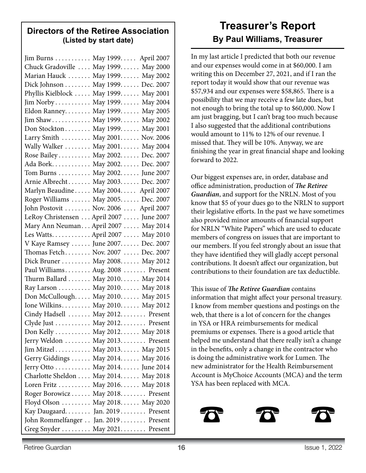## **Directors of the Retiree Association (Listed by start date)**

| Jim Burns May 1999. April 2007           |  |
|------------------------------------------|--|
| Chuck Gradoville  May 1999 May 2000      |  |
| Marian Hauck  May 1999 May 2002          |  |
| Dick Johnson May 1999. Dec. 2007         |  |
| Phyllis Kielblock  May 1999 May 2001     |  |
| Jim Norby May 1999 May 2004              |  |
| Eldon Ranney. May 1999. May 2005         |  |
| Jim Shaw May 1999 May 2002               |  |
| Don Stockton May 1999. May 2001          |  |
| Larry Smith  May 2001 Nov. 2006          |  |
| Wally Walker  May 2001 May 2004          |  |
| Rose Bailey May 2002. Dec. 2007          |  |
| Ada Bork May 2002 Dec. 2007              |  |
| Tom Burns  May 2002 June 2007            |  |
| Arnie Albrecht May 2003 Dec. 2007        |  |
| Marlyn Beaudine May 2004 April 2007      |  |
| Roger Williams  May 2005 Dec. 2007       |  |
| John Postovit  Nov. 2006  April 2007     |  |
| LeRoy Christensen  April 2007  June 2007 |  |
| Mary Ann Neuman April 2007  May 2014     |  |
| Les Watts April 2007  May 2010           |  |
| V Kaye Ramsey  June 2007 Dec. 2007       |  |
| Thomas Fetch Nov. 2007  Dec. 2007        |  |
| Dick Bruner May 2008. May 2012           |  |
| Paul Williams Aug. 2008  Present         |  |
| Thurm Ballard May 2010. May 2014         |  |
| Ray Larson May 2010. May 2018            |  |
| Don McCullough May 2010 May 2015         |  |
| Ione Wilkins May 2010 May 2012           |  |
| Cindy Hadsell  May 2012 Present          |  |
| Clyde Just  May 2012 Present             |  |
| Don Kelly May 2012. May 2018             |  |
| Jerry Weldon  May 2013 Present           |  |
| Jim Mitzel May 2013 May 2015             |  |
| Gerry Giddings  May 2014 May 2016        |  |
| Jerry Otto May 2014. June 2014           |  |
| Charlotte Sheldon  May 2014 May 2018     |  |
| Loren Fritz May 2016. May 2018           |  |
| Roger Borowicz  May 2018 Present         |  |
| Floyd Olson  May 2018 May 2020           |  |
| Kay Daugaard Jan. 2019 Present           |  |
| John Rommelfanger Jan. 2019. Present     |  |
| Greg Snyder  May 2021 Present            |  |

# **Treasurer's Report By Paul Williams, Treasurer**

In my last article I predicted that both our revenue and our expenses would come in at \$60,000. I am writing this on December 27, 2021, and if I ran the report today it would show that our revenue was \$57,934 and our expenses were \$58,865. There is a possibility that we may receive a few late dues, but not enough to bring the total up to \$60,000. Now I am just bragging, but I can't brag too much because I also suggested that the additional contributions would amount to 11% to 12% of our revenue. I missed that. They will be 10%. Anyway, we are finishing the year in great financial shape and looking forward to 2022.

Our biggest expenses are, in order, database and office administration, production of *The Retiree Guardian*, and support for the NRLN. Most of you know that \$5 of your dues go to the NRLN to support their legislative efforts. In the past we have sometimes also provided minor amounts of financial support for NRLN "White Papers" which are used to educate members of congress on issues that are important to our members. If you feel strongly about an issue that they have identified they will gladly accept personal contributions. It doesn't affect our organization, but contributions to their foundation are tax deductible.

This issue of *The Retiree Guardian* contains information that might affect your personal treasury. I know from member questions and postings on the web, that there is a lot of concern for the changes in YSA or HRA reimbursements for medical premiums or expenses. There is a good article that helped me understand that there really isn't a change in the benefits, only a change in the contractor who is doing the administrative work for Lumen. The new administrator for the Health Reimbursement Account is MyChoice Accounts (MCA) and the term YSA has been replaced with MCA.



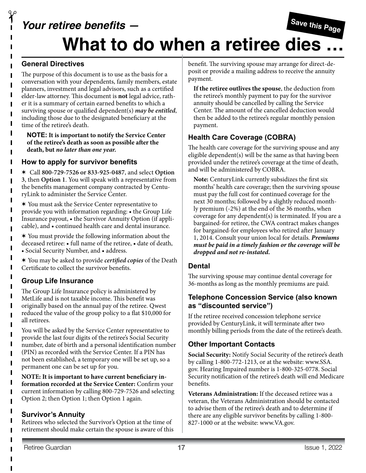# **Save this Page Your retiree benefits — What to do when a retiree dies …**

#### **General Directives**

 $\gamma$ 

The purpose of this document is to use as the basis for a conversation with your dependents, family members, estate planners, investment and legal advisors, such as a certified elder-law attorney. This document is **not** legal advice, rather it is a summary of certain earned benefits to which a surviving spouse or qualified dependent(s) *may be entitled*, including those due to the designated beneficiary at the time of the retiree's death.

**NOTE: It is important to notify the Service Center of the retiree's death as soon as possible after the death, but** *no later than one year.*

#### **How to apply for survivor benefits**

V Call **800-729-7526 or 833-925-0487**, and select **Option 3**, then **Option 1**. You will speak with a representative from the benefits management company contracted by CenturyLink to administer the Service Center.

V You must ask the Service Center representative to provide you with information regarding: • the Group Life Insurance payout, • the Survivor Annuity Option (if applicable), and • continued health care and dental insurance.

 $*$  You must provide the following information about the deceased retiree: • full name of the retiree, • date of death, • Social Security Number, and • address.

V You may be asked to provide *certified copies* of the Death Certificate to collect the survivor benefits.

## **Group Life Insurance**

The Group Life Insurance policy is administered by MetLife and is not taxable income. This benefit was originally based on the annual pay of the retiree. Qwest reduced the value of the group policy to a flat \$10,000 for all retirees.

You will be asked by the Service Center representative to provide the last four digits of the retiree's Social Security number, date of birth and a personal identification number (PIN) as recorded with the Service Center. If a PIN has not been established, a temporary one will be set up, so a permanent one can be set up for you.

**NOTE: It is important to have current beneficiary information recorded at the Service Center:** Confirm your current information by calling 800-729-7526 and selecting Option 2; then Option 1; then Option 1 again.

#### **Survivor's Annuity**

Retirees who selected the Survivor's Option at the time of retirement should make certain the spouse is aware of this benefit. The surviving spouse may arrange for direct-deposit or provide a mailing address to receive the annuity payment.

**If the retiree outlives the spouse**, the deduction from the retiree's monthly payment to pay for the survivor annuity should be cancelled by calling the Service Center. The amount of the cancelled deduction would then be added to the retiree's regular monthly pension payment.

## **Health Care Coverage (COBRA)**

The health care coverage for the surviving spouse and any eligible dependent(s) will be the same as that having been provided under the retiree's coverage at the time of death, and will be administered by COBRA.

**Note:** CenturyLink currently subsidizes the first six months' health care coverage; then the surviving spouse must pay the full cost for continued coverage for the next 30 months; followed by a slightly reduced monthly premium (-2%) at the end of the 36 months, when coverage for any dependent(s) is terminated. If you are a bargained-for retiree, the CWA contract makes changes for bargained-for employees who retired after January 1, 2014. Consult your union local for details. *Premiums must be paid in a timely fashion or the coverage will be dropped and not re-instated.* 

#### **Dental**

The surviving spouse may continue dental coverage for 36-months as long as the monthly premiums are paid.

#### **Telephone Concession Service (also known as "discounted service")**

If the retiree received concession telephone service provided by CenturyLink, it will terminate after two monthly billing periods from the date of the retiree's death.

### **Other Important Contacts**

**Social Security:** Notify Social Security of the retiree's death by calling 1-800-772-1213, or at the website: www.SSA. gov. Hearing Impaired number is 1-800-325-0778. Social Security notification of the retiree's death will end Medicare benefits.

**Veterans Administration:** If the deceased retiree was a veteran, the Veterans Administration should be contacted to advise them of the retiree's death and to determine if there are any eligible survivor benefits by calling 1-800- 827-1000 or at the website: www.VA.gov.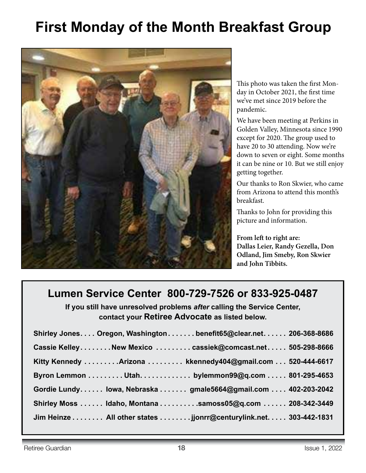# **First Monday of the Month Breakfast Group**



This photo was taken the first Monday in October 2021, the first time we've met since 2019 before the pandemic.

We have been meeting at Perkins in Golden Valley, Minnesota since 1990 except for 2020. The group used to have 20 to 30 attending. Now we're down to seven or eight. Some months it can be nine or 10. But we still enjoy getting together.

Our thanks to Ron Skwier, who came from Arizona to attend this month's breakfast.

Thanks to John for providing this picture and information.

**From left to right are: Dallas Leier, Randy Gezella, Don Odland, Jim Smeby, Ron Skwier and John Tibbits.**

# **Lumen Service Center 800-729-7526 or 833-925-0487**

**If you still have unresolved problems** *after* **calling the Service Center, contact your Retiree Advocate as listed below.**

| Shirley Jones Oregon, Washington benefit65@clear.net 206-368-8686 |  |
|-------------------------------------------------------------------|--|
| Cassie KelleyNew Mexico cassiek@comcast.net 505-298-8666          |  |
| Kitty Kennedy Arizona  kkennedy404@gmail.com  520-444-6617        |  |
| Byron Lemmon Utah. bylemmon99@q.com 801-295-4653                  |  |
| Gordie Lundy lowa, Nebraska  gmale5664@gmail.com  402-203-2042    |  |
| Shirley Moss  Idaho, Montana  samoss05@q.com  208-342-3449        |  |
| Jim Heinze All other states jjonrr@centurylink.net. 303-442-1831  |  |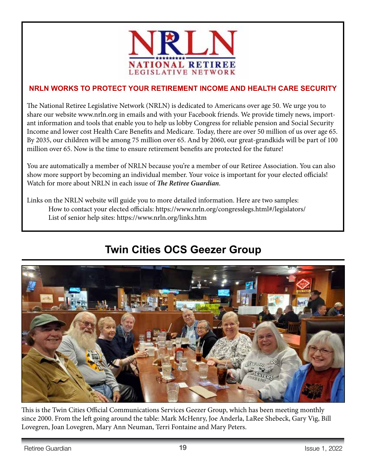

## **NRLN WORKS TO PROTECT YOUR RETIREMENT INCOME AND HEALTH CARE SECURITY**

The National Retiree Legislative Network (NRLN) is dedicated to Americans over age 50. We urge you to share our website www.nrln.org in emails and with your Facebook friends. We provide timely news, important information and tools that enable you to help us lobby Congress for reliable pension and Social Security Income and lower cost Health Care Benefits and Medicare. Today, there are over 50 million of us over age 65. By 2035, our children will be among 75 million over 65. And by 2060, our great-grandkids will be part of 100 million over 65. Now is the time to ensure retirement benefits are protected for the future!

You are automatically a member of NRLN because you're a member of our Retiree Association. You can also show more support by becoming an individual member. Your voice is important for your elected officials! Watch for more about NRLN in each issue of *The Retiree Guardian*.

Links on the NRLN website will guide you to more detailed information. Here are two samples: How to contact your elected officials: https://www.nrln.org/congresslegs.html#/legislators/ List of senior help sites: https://www.nrln.org/links.htm

# **Twin Cities OCS Geezer Group**



This is the Twin Cities Official Communications Services Geezer Group, which has been meeting monthly since 2000. From the left going around the table: Mark McHenry, Joe Anderla, LaRee Shebeck, Gary Vig, Bill Lovegren, Joan Lovegren, Mary Ann Neuman, Terri Fontaine and Mary Peters.